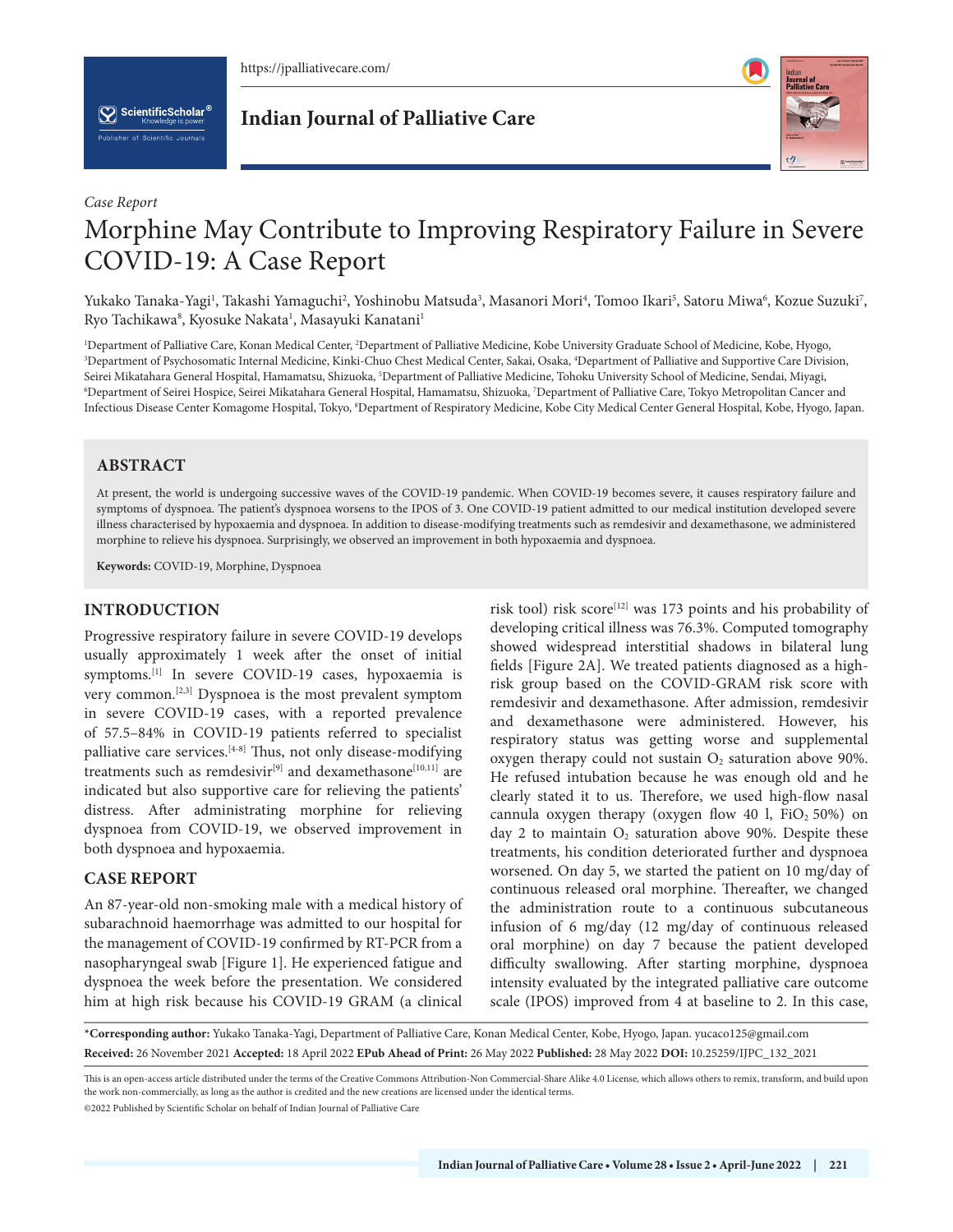https://jpalliativecare.com/

 $\left[\bigvee_{k}\right]$  ScientificScholar<sup>®</sup>

**Indian Journal of Palliative Care**



# *Case Report* Morphine May Contribute to Improving Respiratory Failure in Severe COVID-19: A Case Report

Yukako Tanaka-Yagi', Takashi Yamaguchi<sup>2</sup>, Yoshinobu Matsuda<sup>3</sup>, Masanori Mori<sup>4</sup>, Tomoo Ikari<sup>5</sup>, Satoru Miwa<sup>6</sup>, Kozue Suzuki<sup>7</sup>, Ryo Tachikawa<sup>8</sup>, Kyosuke Nakata<sup>1</sup>, Masayuki Kanatani<sup>1</sup>

<sup>1</sup>Department of Palliative Care, Konan Medical Center, <sup>2</sup>Department of Palliative Medicine, Kobe University Graduate School of Medicine, Kobe, Hyogo,<br><sup>3</sup>Department of Psychosomatic Internal Medicine, Kinki-Chuo Chest Med Department of Psychosomatic Internal Medicine, Kinki-Chuo Chest Medical Center, Sakai, Osaka, 4 Department of Palliative and Supportive Care Division, Seirei Mikatahara General Hospital, Hamamatsu, Shizuoka, <sup>5</sup>Department of Palliative Medicine, Tohoku University School of Medicine, Sendai, Miyagi,<br><sup>6</sup>Department of Seirei Hospice, Seirei Mikatahara General Hospital, Hama Department of Seirei Hospice, Seirei Mikatahara General Hospital, Hamamatsu, Shizuoka, 7 Department of Palliative Care, Tokyo Metropolitan Cancer and Infectious Disease Center Komagome Hospital, Tokyo, 8 Department of Respiratory Medicine, Kobe City Medical Center General Hospital, Kobe, Hyogo, Japan.

## **ABSTRACT**

At present, the world is undergoing successive waves of the COVID-19 pandemic. When COVID-19 becomes severe, it causes respiratory failure and symptoms of dyspnoea. The patient's dyspnoea worsens to the IPOS of 3. One COVID-19 patient admitted to our medical institution developed severe illness characterised by hypoxaemia and dyspnoea. In addition to disease-modifying treatments such as remdesivir and dexamethasone, we administered morphine to relieve his dyspnoea. Surprisingly, we observed an improvement in both hypoxaemia and dyspnoea.

**Keywords:** COVID-19, Morphine, Dyspnoea

## **INTRODUCTION**

Progressive respiratory failure in severe COVID-19 develops usually approximately 1 week after the onset of initial symptoms.<sup>[1]</sup> In severe COVID-19 cases, hypoxaemia is very common.[2,3] Dyspnoea is the most prevalent symptom in severe COVID-19 cases, with a reported prevalence of 57.5–84% in COVID-19 patients referred to specialist palliative care services.[4-8] Thus, not only disease-modifying treatments such as remdesivir<sup>[9]</sup> and dexamethasone<sup>[10,11]</sup> are indicated but also supportive care for relieving the patients' distress. After administrating morphine for relieving dyspnoea from COVID-19, we observed improvement in both dyspnoea and hypoxaemia.

## **CASE REPORT**

An 87-year-old non-smoking male with a medical history of subarachnoid haemorrhage was admitted to our hospital for the management of COVID-19 confirmed by RT-PCR from a nasopharyngeal swab [Figure 1]. He experienced fatigue and dyspnoea the week before the presentation. We considered him at high risk because his COVID-19 GRAM (a clinical

risk tool) risk score<sup>[12]</sup> was 173 points and his probability of developing critical illness was 76.3%. Computed tomography showed widespread interstitial shadows in bilateral lung fields [Figure 2A]. We treated patients diagnosed as a highrisk group based on the COVID-GRAM risk score with remdesivir and dexamethasone. After admission, remdesivir and dexamethasone were administered. However, his respiratory status was getting worse and supplemental oxygen therapy could not sustain  $O_2$  saturation above 90%. He refused intubation because he was enough old and he clearly stated it to us. Therefore, we used high-flow nasal cannula oxygen therapy (oxygen flow 40 l,  $FiO<sub>2</sub> 50%$ ) on day 2 to maintain  $O_2$  saturation above 90%. Despite these treatments, his condition deteriorated further and dyspnoea worsened. On day 5, we started the patient on 10 mg/day of continuous released oral morphine. Thereafter, we changed the administration route to a continuous subcutaneous infusion of 6 mg/day (12 mg/day of continuous released oral morphine) on day 7 because the patient developed difficulty swallowing. After starting morphine, dyspnoea intensity evaluated by the integrated palliative care outcome scale (IPOS) improved from 4 at baseline to 2. In this case,

**\*Corresponding author:** Yukako Tanaka-Yagi, Department of Palliative Care, Konan Medical Center, Kobe, Hyogo, Japan. yucaco125@gmail.com **Received:** 26 November 2021 **Accepted:** 18 April 2022 **EPub Ahead of Print:** 26 May 2022 **Published:** 28 May 2022 **DOI:** [10.25259/IJPC\\_132\\_2021](https://dx.doi.org/10.25259/IJPC_132_2021)

This is an open-access article distributed under the terms of the Creative Commons Attribution-Non Commercial-Share Alike 4.0 License, which allows others to remix, transform, and build upon the work non-commercially, as long as the author is credited and the new creations are licensed under the identical terms.

©2022 Published by Scientific Scholar on behalf of Indian Journal of Palliative Care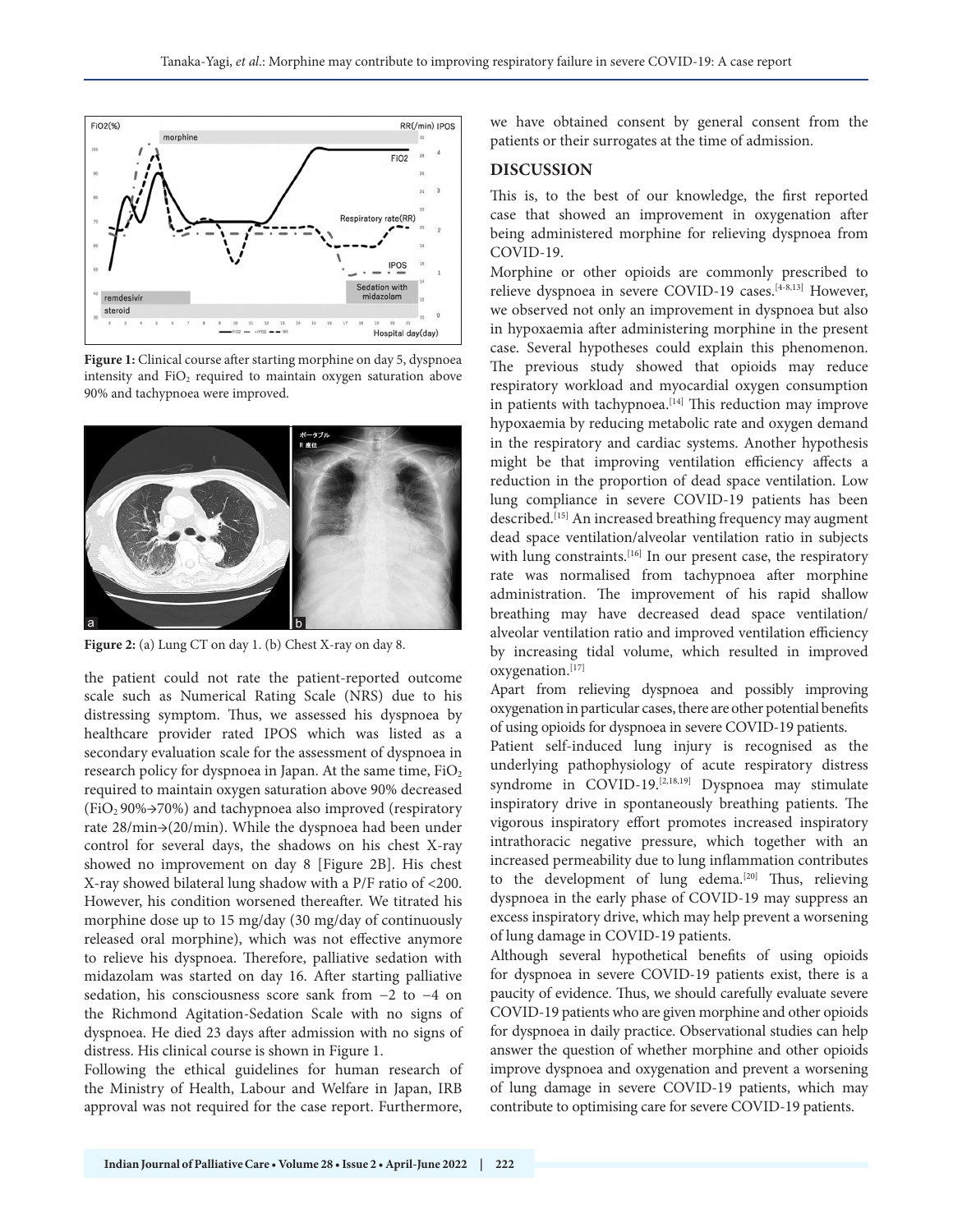

**Figure 1:** Clinical course after starting morphine on day 5, dyspnoea intensity and  $FiO<sub>2</sub>$  required to maintain oxygen saturation above 90% and tachypnoea were improved.



**Figure 2:** (a) Lung CT on day 1. (b) Chest X-ray on day 8.

the patient could not rate the patient-reported outcome scale such as Numerical Rating Scale (NRS) due to his distressing symptom. Thus, we assessed his dyspnoea by healthcare provider rated IPOS which was listed as a secondary evaluation scale for the assessment of dyspnoea in research policy for dyspnoea in Japan. At the same time, FiO<sub>2</sub> required to maintain oxygen saturation above 90% decreased  $(FiO<sub>2</sub> 90\% \rightarrow 70\%)$  and tachypnoea also improved (respiratory rate 28/min→(20/min). While the dyspnoea had been under control for several days, the shadows on his chest X-ray showed no improvement on day 8 [Figure 2B]. His chest X-ray showed bilateral lung shadow with a P/F ratio of <200. However, his condition worsened thereafter. We titrated his morphine dose up to 15 mg/day (30 mg/day of continuously released oral morphine), which was not effective anymore to relieve his dyspnoea. Therefore, palliative sedation with midazolam was started on day 16. After starting palliative sedation, his consciousness score sank from −2 to −4 on the Richmond Agitation-Sedation Scale with no signs of dyspnoea. He died 23 days after admission with no signs of distress. His clinical course is shown in Figure 1.

Following the ethical guidelines for human research of the Ministry of Health, Labour and Welfare in Japan, IRB approval was not required for the case report. Furthermore,

we have obtained consent by general consent from the patients or their surrogates at the time of admission.

### **DISCUSSION**

This is, to the best of our knowledge, the first reported case that showed an improvement in oxygenation after being administered morphine for relieving dyspnoea from COVID-19.

Morphine or other opioids are commonly prescribed to relieve dyspnoea in severe COVID-19 cases.<sup>[4-8,13]</sup> However, we observed not only an improvement in dyspnoea but also in hypoxaemia after administering morphine in the present case. Several hypotheses could explain this phenomenon. The previous study showed that opioids may reduce respiratory workload and myocardial oxygen consumption in patients with tachypnoea.<sup>[14]</sup> This reduction may improve hypoxaemia by reducing metabolic rate and oxygen demand in the respiratory and cardiac systems. Another hypothesis might be that improving ventilation efficiency affects a reduction in the proportion of dead space ventilation. Low lung compliance in severe COVID-19 patients has been described.<sup>[15]</sup> An increased breathing frequency may augment dead space ventilation/alveolar ventilation ratio in subjects with lung constraints.<sup>[16]</sup> In our present case, the respiratory rate was normalised from tachypnoea after morphine administration. The improvement of his rapid shallow breathing may have decreased dead space ventilation/ alveolar ventilation ratio and improved ventilation efficiency by increasing tidal volume, which resulted in improved oxygenation.[17]

Apart from relieving dyspnoea and possibly improving oxygenation in particular cases, there are other potential benefits of using opioids for dyspnoea in severe COVID-19 patients.

Patient self-induced lung injury is recognised as the underlying pathophysiology of acute respiratory distress syndrome in COVID-19.<sup>[2,18,19]</sup> Dyspnoea may stimulate inspiratory drive in spontaneously breathing patients. The vigorous inspiratory effort promotes increased inspiratory intrathoracic negative pressure, which together with an increased permeability due to lung inflammation contributes to the development of lung edema.[20] Thus, relieving dyspnoea in the early phase of COVID-19 may suppress an excess inspiratory drive, which may help prevent a worsening of lung damage in COVID-19 patients.

Although several hypothetical benefits of using opioids for dyspnoea in severe COVID-19 patients exist, there is a paucity of evidence. Thus, we should carefully evaluate severe COVID-19 patients who are given morphine and other opioids for dyspnoea in daily practice. Observational studies can help answer the question of whether morphine and other opioids improve dyspnoea and oxygenation and prevent a worsening of lung damage in severe COVID-19 patients, which may contribute to optimising care for severe COVID-19 patients.